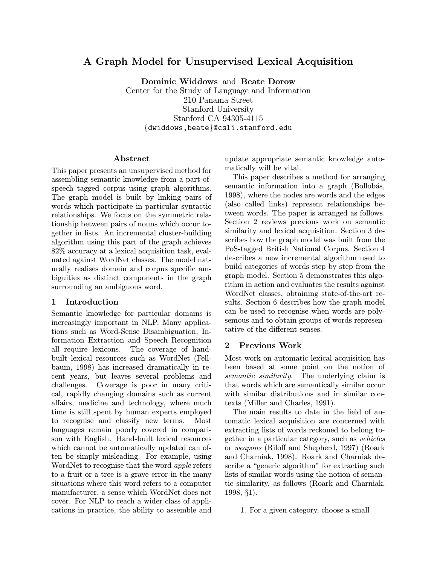# A Graph Model for Unsupervised Lexical Acquisition

Dominic Widdows and Beate Dorow

Center for the Study of Language and Information 210 Panama Street Stanford University Stanford CA 94305-4115 {dwiddows,beate}@csli.stanford.edu

#### Abstract

This paper presents an unsupervised method for assembling semantic knowledge from a part-ofspeech tagged corpus using graph algorithms. The graph model is built by linking pairs of words which participate in particular syntactic relationships. We focus on the symmetric relationship between pairs of nouns which occur together in lists. An incremental cluster-building algorithm using this part of the graph achieves 82% accuracy at a lexical acquisition task, evaluated against WordNet classes. The model naturally realises domain and corpus specific ambiguities as distinct components in the graph surrounding an ambiguous word.

### 1 Introduction

Semantic knowledge for particular domains is increasingly important in NLP. Many applications such as Word-Sense Disambiguation, Information Extraction and Speech Recognition all require lexicons. The coverage of handbuilt lexical resources such as WordNet (Fellbaum, 1998) has increased dramatically in recent years, but leaves several problems and challenges. Coverage is poor in many critical, rapidly changing domains such as current affairs, medicine and technology, where much time is still spent by human experts employed to recognise and classify new terms. Most languages remain poorly covered in comparison with English. Hand-built lexical resources which cannot be automatically updated can often be simply misleading. For example, using WordNet to recognise that the word apple refers to a fruit or a tree is a grave error in the many situations where this word refers to a computer manufacturer, a sense which WordNet does not cover. For NLP to reach a wider class of applications in practice, the ability to assemble and update appropriate semantic knowledge automatically will be vital.

This paper describes a method for arranging semantic information into a graph (Bollobás, 1998), where the nodes are words and the edges (also called links) represent relationships between words. The paper is arranged as follows. Section 2 reviews previous work on semantic similarity and lexical acquisition. Section 3 describes how the graph model was built from the PoS-tagged British National Corpus. Section 4 describes a new incremental algorithm used to build categories of words step by step from the graph model. Section 5 demonstrates this algorithm in action and evaluates the results against WordNet classes, obtaining state-of-the-art results. Section 6 describes how the graph model can be used to recognise when words are polysemous and to obtain groups of words representative of the different senses.

### 2 Previous Work

Most work on automatic lexical acquisition has been based at some point on the notion of semantic similarity. The underlying claim is that words which are semantically similar occur with similar distributions and in similar contexts (Miller and Charles, 1991).

The main results to date in the field of automatic lexical acquisition are concerned with extracting lists of words reckoned to belong together in a particular category, such as vehicles or weapons (Riloff and Shepherd, 1997) (Roark and Charniak, 1998). Roark and Charniak describe a "generic algorithm" for extracting such lists of similar words using the notion of semantic similarity, as follows (Roark and Charniak, 1998, §1).

1. For a given category, choose a small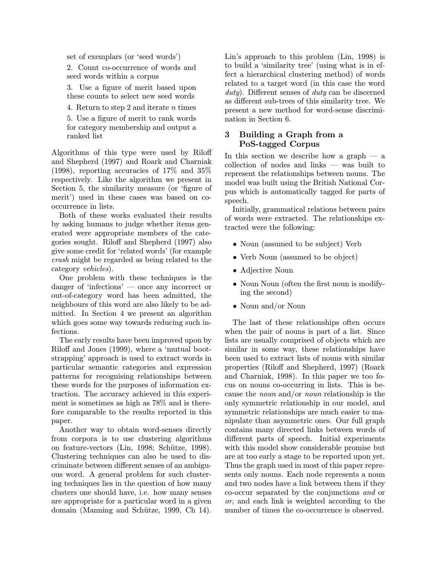set of exemplars (or 'seed words')

2. Count co-occurrence of words and seed words within a corpus

3. Use a figure of merit based upon these counts to select new seed words

4. Return to step 2 and iterate n times

5. Use a figure of merit to rank words for category membership and output a ranked list

Algorithms of this type were used by Riloff and Shepherd (1997) and Roark and Charniak  $(1998)$ , reporting accuracies of 17\% and 35\% respectively. Like the algorithm we present in Section 5, the similarity measure (or 'figure of merit') used in these cases was based on cooccurrence in lists.

Both of these works evaluated their results by asking humans to judge whether items generated were appropriate members of the categories sought. Riloff and Shepherd (1997) also give some credit for 'related words' (for example crash might be regarded as being related to the category vehicles).

One problem with these techniques is the danger of 'infections' — once any incorrect or out-of-category word has been admitted, the neighbours of this word are also likely to be admitted. In Section 4 we present an algorithm which goes some way towards reducing such infections.

The early results have been improved upon by Riloff and Jones (1999), where a 'mutual bootstrapping' approach is used to extract words in particular semantic categories and expression patterns for recognising relationships between these words for the purposes of information extraction. The accuracy achieved in this experiment is sometimes as high as 78% and is therefore comparable to the results reported in this paper.

Another way to obtain word-senses directly from corpora is to use clustering algorithms on feature-vectors (Lin, 1998; Schütze, 1998). Clustering techniques can also be used to discriminate between different senses of an ambiguous word. A general problem for such clustering techniques lies in the question of how many clusters one should have, i.e. how many senses are appropriate for a particular word in a given domain (Manning and Schütze, 1999, Ch 14).

Lin's approach to this problem (Lin, 1998) is to build a 'similarity tree' (using what is in effect a hierarchical clustering method) of words related to a target word (in this case the word duty). Different senses of duty can be discerned as different sub-trees of this similarity tree. We present a new method for word-sense discrimination in Section 6.

# 3 Building a Graph from a PoS-tagged Corpus

In this section we describe how a graph  $-$  a collection of nodes and links — was built to represent the relationships between nouns. The model was built using the British National Corpus which is automatically tagged for parts of speech.

Initially, grammatical relations between pairs of words were extracted. The relationships extracted were the following:

- Noun (assumed to be subject) Verb
- Verb Noun (assumed to be object)
- Adjective Noun
- Noun Noun (often the first noun is modifying the second)
- Noun and/or Noun

The last of these relationships often occurs when the pair of nouns is part of a list. Since lists are usually comprised of objects which are similar in some way, these relationships have been used to extract lists of nouns with similar properties (Riloff and Shepherd, 1997) (Roark and Charniak, 1998). In this paper we too focus on nouns co-occurring in lists. This is because the noun and/or noun relationship is the only symmetric relationship in our model, and symmetric relationships are much easier to manipulate than asymmetric ones. Our full graph contains many directed links between words of different parts of speech. Initial experiments with this model show considerable promise but are at too early a stage to be reported upon yet. Thus the graph used in most of this paper represents only nouns. Each node represents a noun and two nodes have a link between them if they co-occur separated by the conjunctions and or or, and each link is weighted according to the number of times the co-occurrence is observed.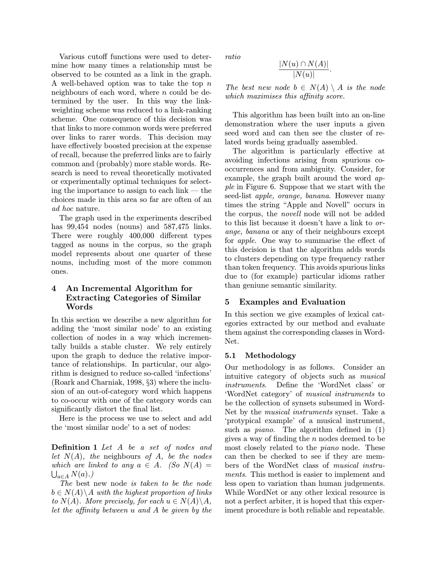Various cutoff functions were used to determine how many times a relationship must be observed to be counted as a link in the graph. A well-behaved option was to take the top n neighbours of each word, where n could be determined by the user. In this way the linkweighting scheme was reduced to a link-ranking scheme. One consequence of this decision was that links to more common words were preferred over links to rarer words. This decision may have effectively boosted precision at the expense of recall, because the preferred links are to fairly common and (probably) more stable words. Research is need to reveal theoretically motivated or experimentally optimal techniques for selecting the importance to assign to each link — the choices made in this area so far are often of an ad hoc nature.

The graph used in the experiments described has  $99,454$  nodes (nouns) and  $587,475$  links. There were roughly 400,000 different types tagged as nouns in the corpus, so the graph model represents about one quarter of these nouns, including most of the more common ones.

# 4 An Incremental Algorithm for Extracting Categories of Similar Words

In this section we describe a new algorithm for adding the 'most similar node' to an existing collection of nodes in a way which incrementally builds a stable cluster. We rely entirely upon the graph to deduce the relative importance of relationships. In particular, our algorithm is designed to reduce so-called 'infections' (Roark and Charniak, 1998, §3) where the inclusion of an out-of-category word which happens to co-occur with one of the category words can significantly distort the final list.

Here is the process we use to select and add the 'most similar node' to a set of nodes:

Definition 1 Let A be a set of nodes and let  $N(A)$ , the neighbours of A, be the nodes which are linked to any  $a \in A$ . (So  $N(A) =$  $\bigcup_{a\in A} N(a)$ .)

The best new node is taken to be the node  $b \in N(A) \backslash A$  with the highest proportion of links to  $N(A)$ . More precisely, for each  $u \in N(A) \backslash A$ , let the affinity between u and A be given by the ratio

$$
\frac{|N(u) \cap N(A)|}{|N(u)|}.
$$

The best new node  $b \in N(A) \setminus A$  is the node which maximises this affinity score.

This algorithm has been built into an on-line demonstration where the user inputs a given seed word and can then see the cluster of related words being gradually assembled.

The algorithm is particularly effective at avoiding infections arising from spurious cooccurrences and from ambiguity. Consider, for example, the graph built around the word apple in Figure 6. Suppose that we start with the seed-list apple, orange, banana. However many times the string "Apple and Novell" occurs in the corpus, the novell node will not be added to this list because it doesn't have a link to orange, banana or any of their neighbours except for apple. One way to summarise the effect of this decision is that the algorithm adds words to clusters depending on type frequency rather than token frequency. This avoids spurious links due to (for example) particular idioms rather than geniune semantic similarity.

### 5 Examples and Evaluation

In this section we give examples of lexical categories extracted by our method and evaluate them against the corresponding classes in Word-Net.

#### 5.1 Methodology

Our methodology is as follows. Consider an intuitive category of objects such as musical instruments. Define the 'WordNet class' or 'WordNet category' of musical instruments to be the collection of synsets subsumed in Word-Net by the musical instruments synset. Take a 'protypical example' of a musical instrument, such as *piano*. The algorithm defined in  $(1)$ gives a way of finding the  $n$  nodes deemed to be most closely related to the piano node. These can then be checked to see if they are members of the WordNet class of musical instruments. This method is easier to implement and less open to variation than human judgements. While WordNet or any other lexical resource is not a perfect arbiter, it is hoped that this experiment procedure is both reliable and repeatable.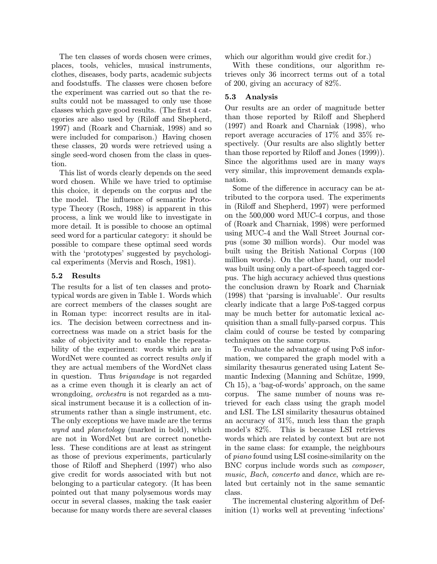The ten classes of words chosen were crimes, places, tools, vehicles, musical instruments, clothes, diseases, body parts, academic subjects and foodstuffs. The classes were chosen before the experiment was carried out so that the results could not be massaged to only use those classes which gave good results. (The first 4 categories are also used by (Riloff and Shepherd, 1997) and (Roark and Charniak, 1998) and so were included for comparison.) Having chosen these classes, 20 words were retrieved using a single seed-word chosen from the class in question.

This list of words clearly depends on the seed word chosen. While we have tried to optimise this choice, it depends on the corpus and the the model. The influence of semantic Prototype Theory (Rosch, 1988) is apparent in this process, a link we would like to investigate in more detail. It is possible to choose an optimal seed word for a particular category: it should be possible to compare these optimal seed words with the 'prototypes' suggested by psychological experiments (Mervis and Rosch, 1981).

# 5.2 Results

The results for a list of ten classes and prototypical words are given in Table 1. Words which are correct members of the classes sought are in Roman type: incorrect results are in italics. The decision between correctness and incorrectness was made on a strict basis for the sake of objectivity and to enable the repeatability of the experiment: words which are in WordNet were counted as correct results only if they are actual members of the WordNet class in question. Thus brigandage is not regarded as a crime even though it is clearly an act of wrongdoing, orchestra is not regarded as a musical instrument because it is a collection of instruments rather than a single instrument, etc. The only exceptions we have made are the terms wynd and planetology (marked in bold), which are not in WordNet but are correct nonetheless. These conditions are at least as stringent as those of previous experiments, particularly those of Riloff and Shepherd (1997) who also give credit for words associated with but not belonging to a particular category. (It has been pointed out that many polysemous words may occur in several classes, making the task easier because for many words there are several classes

which our algorithm would give credit for.)

With these conditions, our algorithm retrieves only 36 incorrect terms out of a total of 200, giving an accuracy of 82%.

### 5.3 Analysis

Our results are an order of magnitude better than those reported by Riloff and Shepherd (1997) and Roark and Charniak (1998), who report average accuracies of 17% and 35% respectively. (Our results are also slightly better than those reported by Riloff and Jones (1999)). Since the algorithms used are in many ways very similar, this improvement demands explanation.

Some of the difference in accuracy can be attributed to the corpora used. The experiments in (Riloff and Shepherd, 1997) were performed on the 500,000 word MUC-4 corpus, and those of (Roark and Charniak, 1998) were performed using MUC-4 and the Wall Street Journal corpus (some 30 million words). Our model was built using the British National Corpus (100 million words). On the other hand, our model was built using only a part-of-speech tagged corpus. The high accuracy achieved thus questions the conclusion drawn by Roark and Charniak (1998) that 'parsing is invaluable'. Our results clearly indicate that a large PoS-tagged corpus may be much better for automatic lexical acquisition than a small fully-parsed corpus. This claim could of course be tested by comparing techniques on the same corpus.

To evaluate the advantage of using PoS information, we compared the graph model with a similarity thesaurus generated using Latent Semantic Indexing (Manning and Schütze, 1999, Ch 15), a 'bag-of-words' approach, on the same corpus. The same number of nouns was retrieved for each class using the graph model and LSI. The LSI similarity thesaurus obtained an accuracy of 31%, much less than the graph model's 82%. This is because LSI retrieves words which are related by context but are not in the same class: for example, the neighbours of piano found using LSI cosine-similarity on the BNC corpus include words such as composer, music, Bach, concerto and dance, which are related but certainly not in the same semantic class.

The incremental clustering algorithm of Definition (1) works well at preventing 'infections'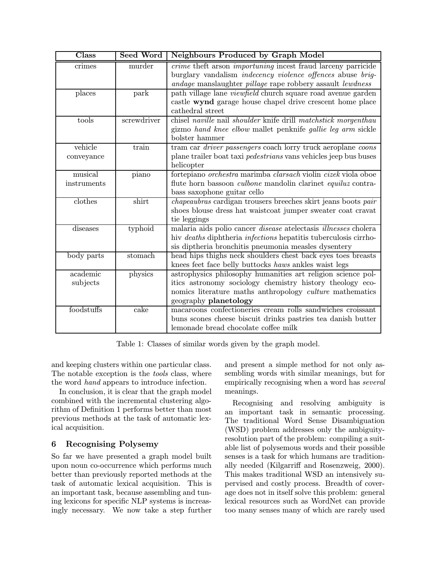| Class       | <b>Seed Word</b> | Neighbours Produced by Graph Model                                                 |
|-------------|------------------|------------------------------------------------------------------------------------|
| crimes      | murder           | crime theft arson <i>importuning</i> incest fraud larceny parricide                |
|             |                  | burglary vandalism <i>indecency violence offences</i> abuse brig-                  |
|             |                  | andage manslaughter pillage rape robbery assault lewdness                          |
| places      | park             | path village lane <i>viewfield</i> church square road avenue garden                |
|             |                  | castle wynd garage house chapel drive crescent home place                          |
|             |                  | cathedral street                                                                   |
| tools       | screwdriver      | chisel naville nail shoulder knife drill matchstick morgenthau                     |
|             |                  | gizmo hand knee elbow mallet penknife gallie leg arm sickle                        |
|             |                  | bolster hammer                                                                     |
| vehicle     | train            | tram car <i>driver passengers</i> coach lorry truck aeroplane coons                |
| conveyance  |                  | plane trailer boat taxi <i>pedestrians</i> vans vehicles jeep bus buses            |
|             |                  | helicopter                                                                         |
| musical     | piano            | fortepiano <i>orchestra</i> marimba <i>clarsach</i> violin <i>cizek</i> viola oboe |
| instruments |                  | flute horn bassoon <i>culbone</i> mandolin clarinet <i>equiluz</i> contra-         |
|             |                  | bass saxophone guitar cello                                                        |
| clothes     | shirt            | chapeaubras cardigan trousers breeches skirt jeans boots pair                      |
|             |                  | shoes blouse dress hat waistcoat jumper sweater coat cravat                        |
|             |                  | tie leggings                                                                       |
| diseases    | typhoid          | malaria aids polio cancer disease atelectasis illnesses cholera                    |
|             |                  | hiv <i>deaths</i> diphtheria <i>infections</i> hepatitis tuberculosis cirrho-      |
|             |                  | sis diptheria bronchitis pneumonia measles dysentery                               |
| body parts  | stomach          | head hips thighs neck shoulders chest back eyes toes breasts                       |
|             |                  | knees feet face belly buttocks haws ankles waist legs                              |
| academic    | physics          | astrophysics philosophy humanities art religion science pol-                       |
| subjects    |                  | itics astronomy sociology chemistry history theology eco-                          |
|             |                  | nomics literature maths anthropology <i>culture</i> mathematics                    |
|             |                  | geography planetology                                                              |
| foodstuffs  | cake             | macaroons confectioneries cream rolls sandwiches croissant                         |
|             |                  | buns scones cheese biscuit drinks pastries tea danish butter                       |
|             |                  | lemonade bread chocolate coffee milk                                               |

Table 1: Classes of similar words given by the graph model.

and keeping clusters within one particular class. The notable exception is the *tools* class, where the word hand appears to introduce infection.

In conclusion, it is clear that the graph model combined with the incremental clustering algorithm of Definition 1 performs better than most previous methods at the task of automatic lexical acquisition.

# 6 Recognising Polysemy

So far we have presented a graph model built upon noun co-occurrence which performs much better than previously reported methods at the task of automatic lexical acquisition. This is an important task, because assembling and tuning lexicons for specific NLP systems is increasingly necessary. We now take a step further and present a simple method for not only assembling words with similar meanings, but for empirically recognising when a word has several meanings.

Recognising and resolving ambiguity is an important task in semantic processing. The traditional Word Sense Disambiguation (WSD) problem addresses only the ambiguityresolution part of the problem: compiling a suitable list of polysemous words and their possible senses is a task for which humans are traditionally needed (Kilgarriff and Rosenzweig, 2000). This makes traditional WSD an intensively supervised and costly process. Breadth of coverage does not in itself solve this problem: general lexical resources such as WordNet can provide too many senses many of which are rarely used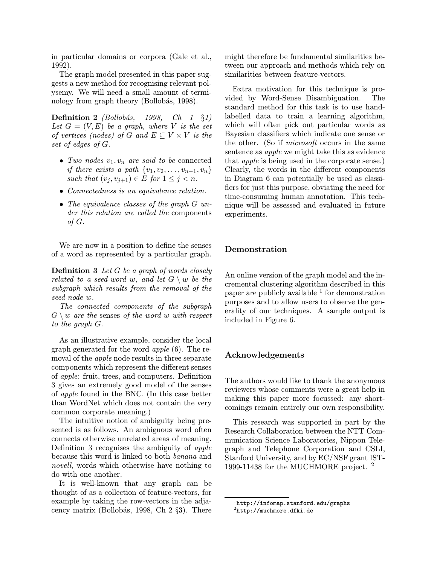in particular domains or corpora (Gale et al., 1992).

The graph model presented in this paper suggests a new method for recognising relevant polysemy. We will need a small amount of terminology from graph theory (Bollobás, 1998).

**Definition 2** (Bollobás, 1998, Ch 1  $\S1$ ) Let  $G = (V, E)$  be a graph, where V is the set of vertices (nodes) of G and  $E \subseteq V \times V$  is the set of edges of G.

- Two nodes  $v_1, v_n$  are said to be connected if there exists a path  $\{v_1, v_2, \ldots, v_{n-1}, v_n\}$ such that  $(v_j, v_{j+1}) \in E$  for  $1 \leq j \leq n$ .
- Connectedness is an equivalence relation.
- The equivalence classes of the graph G under this relation are called the components  $of G.$

We are now in a position to define the senses of a word as represented by a particular graph.

Definition 3 Let G be a graph of words closely related to a seed-word w, and let  $G \setminus w$  be the subgraph which results from the removal of the seed-node w.

The connected components of the subgraph  $G \setminus w$  are the senses of the word w with respect to the graph G.

As an illustrative example, consider the local graph generated for the word apple (6). The removal of the apple node results in three separate components which represent the different senses of apple: fruit, trees, and computers. Definition 3 gives an extremely good model of the senses of apple found in the BNC. (In this case better than WordNet which does not contain the very common corporate meaning.)

The intuitive notion of ambiguity being presented is as follows. An ambiguous word often connects otherwise unrelated areas of meaning. Definition 3 recognises the ambiguity of apple because this word is linked to both banana and novell, words which otherwise have nothing to do with one another.

It is well-known that any graph can be thought of as a collection of feature-vectors, for example by taking the row-vectors in the adjacency matrix (Bollobás, 1998, Ch  $2 \S 3$ ). There might therefore be fundamental similarities between our approach and methods which rely on similarities between feature-vectors.

Extra motivation for this technique is provided by Word-Sense Disambiguation. The standard method for this task is to use handlabelled data to train a learning algorithm, which will often pick out particular words as Bayesian classifiers which indicate one sense or the other. (So if microsoft occurs in the same sentence as apple we might take this as evidence that apple is being used in the corporate sense.) Clearly, the words in the different components in Diagram 6 can potentially be used as classifiers for just this purpose, obviating the need for time-consuming human annotation. This technique will be assessed and evaluated in future experiments.

#### Demonstration

An online version of the graph model and the incremental clustering algorithm described in this paper are publicly available <sup>1</sup> for demonstration purposes and to allow users to observe the generality of our techniques. A sample output is included in Figure 6.

#### Acknowledgements

The authors would like to thank the anonymous reviewers whose comments were a great help in making this paper more focussed: any shortcomings remain entirely our own responsibility.

This research was supported in part by the Research Collaboration between the NTT Communication Science Laboratories, Nippon Telegraph and Telephone Corporation and CSLI, Stanford University, and by EC/NSF grant IST-1999-11438 for the MUCHMORE project. <sup>2</sup>

 $^{\rm 1}$ http://infomap.stanford.edu/graphs

<sup>&</sup>lt;sup>2</sup>http://muchmore.dfki.de